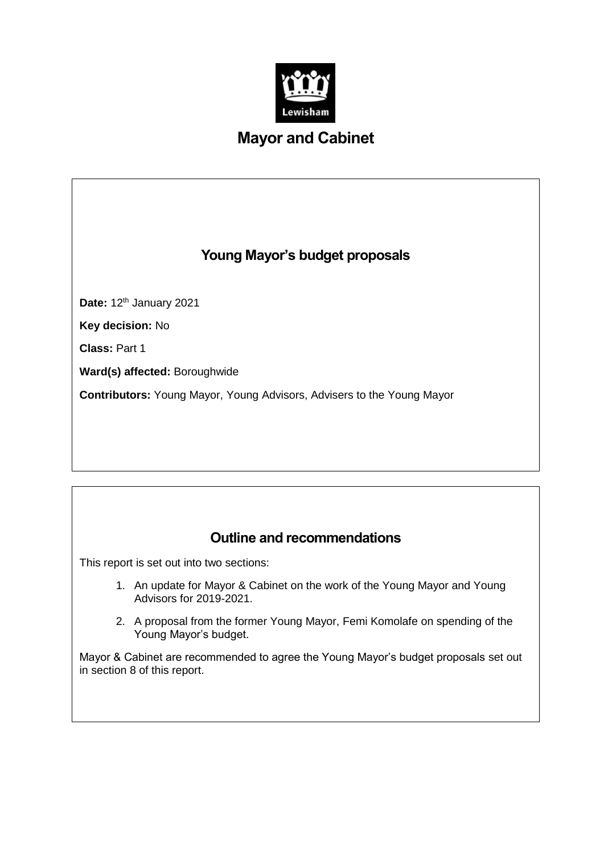

# **Mayor and Cabinet**

# **Young Mayor's budget proposals**

**Date: 12th January 2021** 

**Key decision:** No

**Class:** Part 1

**Ward(s) affected:** Boroughwide

**Contributors:** Young Mayor, Young Advisors, Advisers to the Young Mayor

# **Outline and recommendations**

This report is set out into two sections:

- 1. An update for Mayor & Cabinet on the work of the Young Mayor and Young Advisors for 2019-2021.
- 2. A proposal from the former Young Mayor, Femi Komolafe on spending of the Young Mayor's budget.

Mayor & Cabinet are recommended to agree the Young Mayor's budget proposals set out in section 8 of this report.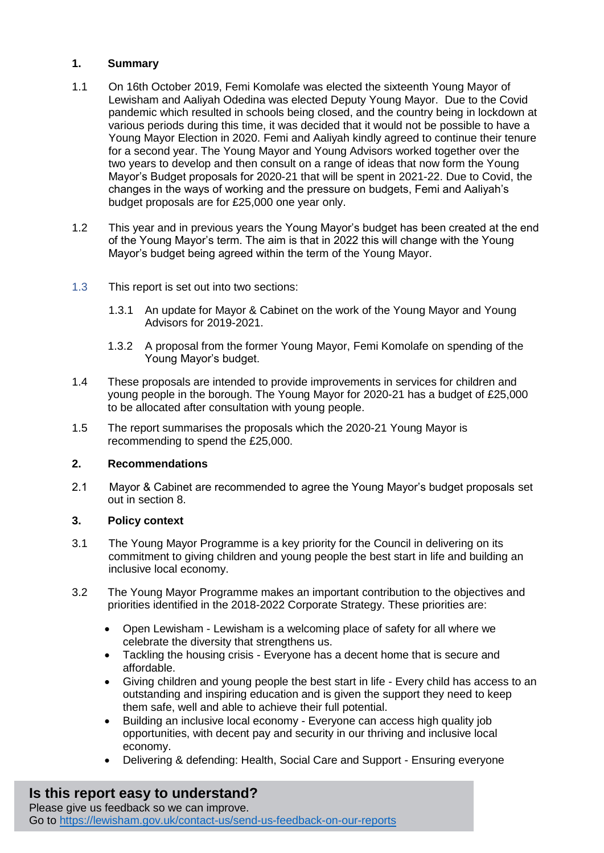## **1. Summary**

- 1.1 On 16th October 2019, Femi Komolafe was elected the sixteenth Young Mayor of Lewisham and Aaliyah Odedina was elected Deputy Young Mayor. Due to the Covid pandemic which resulted in schools being closed, and the country being in lockdown at various periods during this time, it was decided that it would not be possible to have a Young Mayor Election in 2020. Femi and Aaliyah kindly agreed to continue their tenure for a second year. The Young Mayor and Young Advisors worked together over the two years to develop and then consult on a range of ideas that now form the Young Mayor's Budget proposals for 2020-21 that will be spent in 2021-22. Due to Covid, the changes in the ways of working and the pressure on budgets, Femi and Aaliyah's budget proposals are for £25,000 one year only.
- 1.2 This year and in previous years the Young Mayor's budget has been created at the end of the Young Mayor's term. The aim is that in 2022 this will change with the Young Mayor's budget being agreed within the term of the Young Mayor.
- 1.3 This report is set out into two sections:
	- 1.3.1 An update for Mayor & Cabinet on the work of the Young Mayor and Young Advisors for 2019-2021.
	- 1.3.2 A proposal from the former Young Mayor, Femi Komolafe on spending of the Young Mayor's budget.
- 1.4 These proposals are intended to provide improvements in services for children and young people in the borough. The Young Mayor for 2020-21 has a budget of £25,000 to be allocated after consultation with young people.
- 1.5 The report summarises the proposals which the 2020-21 Young Mayor is recommending to spend the £25,000.

## **2. Recommendations**

2.1 Mayor & Cabinet are recommended to agree the Young Mayor's budget proposals set out in section 8.

## **3. Policy context**

- 3.1 The Young Mayor Programme is a key priority for the Council in delivering on its commitment to giving children and young people the best start in life and building an inclusive local economy.
- 3.2 The Young Mayor Programme makes an important contribution to the objectives and priorities identified in the 2018-2022 Corporate Strategy. These priorities are:
	- Open Lewisham Lewisham is a welcoming place of safety for all where we celebrate the diversity that strengthens us.
	- Tackling the housing crisis Everyone has a decent home that is secure and affordable.
	- Giving children and young people the best start in life Every child has access to an outstanding and inspiring education and is given the support they need to keep them safe, well and able to achieve their full potential.
	- Building an inclusive local economy Everyone can access high quality job opportunities, with decent pay and security in our thriving and inclusive local economy.
	- Delivering & defending: Health, Social Care and Support Ensuring everyone

## **Is this report easy to understand?**

Please give us feedback so we can improve. Go to<https://lewisham.gov.uk/contact-us/send-us-feedback-on-our-reports>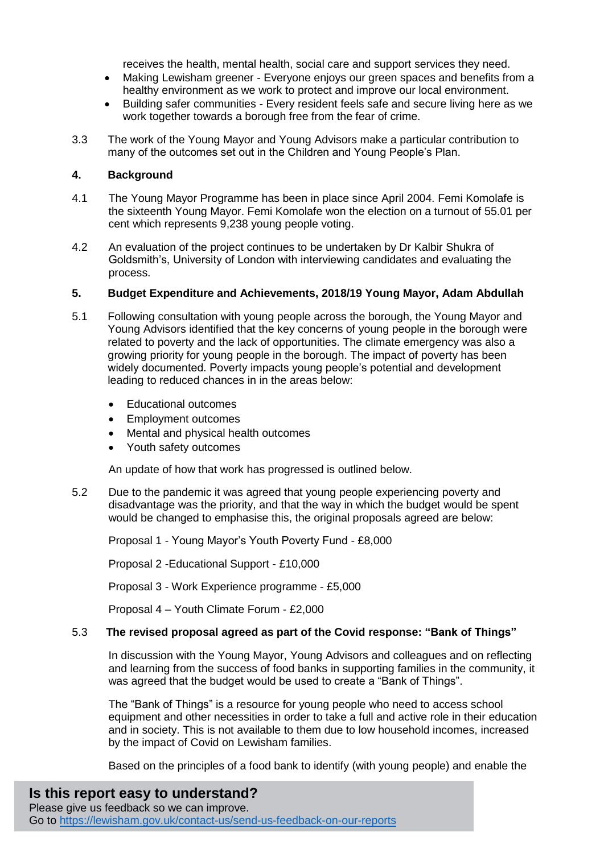receives the health, mental health, social care and support services they need.

- Making Lewisham greener Everyone enjoys our green spaces and benefits from a healthy environment as we work to protect and improve our local environment.
- Building safer communities Every resident feels safe and secure living here as we work together towards a borough free from the fear of crime.
- 3.3 The work of the Young Mayor and Young Advisors make a particular contribution to many of the outcomes set out in the Children and Young People's Plan.

## **4. Background**

- 4.1 The Young Mayor Programme has been in place since April 2004. Femi Komolafe is the sixteenth Young Mayor. Femi Komolafe won the election on a turnout of 55.01 per cent which represents 9,238 young people voting.
- 4.2 An evaluation of the project continues to be undertaken by Dr Kalbir Shukra of Goldsmith's, University of London with interviewing candidates and evaluating the process.

#### **5. Budget Expenditure and Achievements, 2018/19 Young Mayor, Adam Abdullah**

- 5.1 Following consultation with young people across the borough, the Young Mayor and Young Advisors identified that the key concerns of young people in the borough were related to poverty and the lack of opportunities. The climate emergency was also a growing priority for young people in the borough. The impact of poverty has been widely documented. Poverty impacts young people's potential and development leading to reduced chances in in the areas below:
	- Educational outcomes
	- Employment outcomes
	- Mental and physical health outcomes
	- Youth safety outcomes

An update of how that work has progressed is outlined below.

5.2 Due to the pandemic it was agreed that young people experiencing poverty and disadvantage was the priority, and that the way in which the budget would be spent would be changed to emphasise this, the original proposals agreed are below:

Proposal 1 - Young Mayor's Youth Poverty Fund - £8,000

Proposal 2 -Educational Support - £10,000

Proposal 3 - Work Experience programme - £5,000

Proposal 4 – Youth Climate Forum - £2,000

## 5.3 **The revised proposal agreed as part of the Covid response: "Bank of Things"**

In discussion with the Young Mayor, Young Advisors and colleagues and on reflecting and learning from the success of food banks in supporting families in the community, it was agreed that the budget would be used to create a "Bank of Things".

The "Bank of Things" is a resource for young people who need to access school equipment and other necessities in order to take a full and active role in their education and in society. This is not available to them due to low household incomes, increased by the impact of Covid on Lewisham families.

Based on the principles of a food bank to identify (with young people) and enable the

# **Is this report easy to understand?**

Please give us feedback so we can improve. Go to<https://lewisham.gov.uk/contact-us/send-us-feedback-on-our-reports>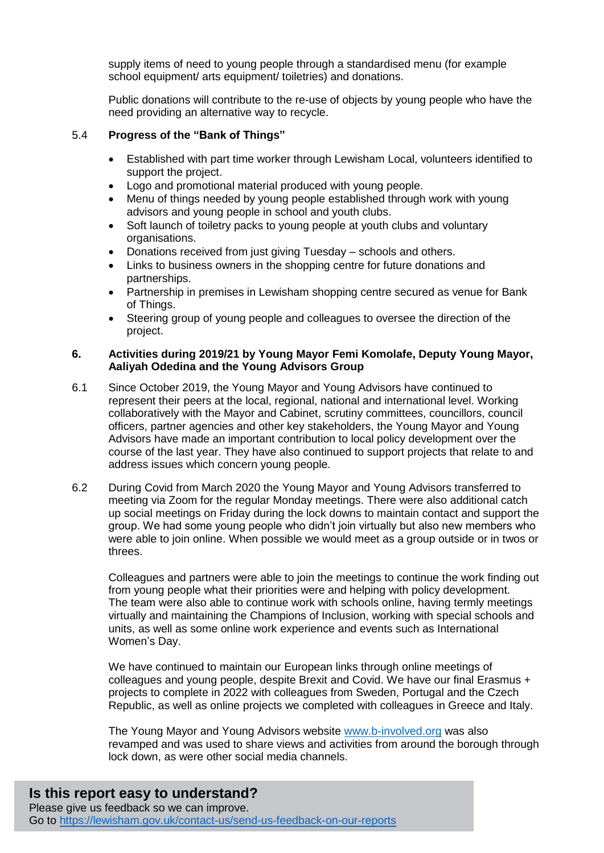supply items of need to young people through a standardised menu (for example school equipment/ arts equipment/ toiletries) and donations.

Public donations will contribute to the re-use of objects by young people who have the need providing an alternative way to recycle.

## 5.4 **Progress of the "Bank of Things"**

- Established with part time worker through Lewisham Local, volunteers identified to support the project.
- Logo and promotional material produced with young people.
- Menu of things needed by young people established through work with young advisors and young people in school and youth clubs.
- Soft launch of toiletry packs to young people at youth clubs and voluntary organisations.
- Donations received from just giving Tuesday schools and others.
- Links to business owners in the shopping centre for future donations and partnerships.
- Partnership in premises in Lewisham shopping centre secured as venue for Bank of Things.
- Steering group of young people and colleagues to oversee the direction of the project.

#### **6. Activities during 2019/21 by Young Mayor Femi Komolafe, Deputy Young Mayor, Aaliyah Odedina and the Young Advisors Group**

- 6.1 Since October 2019, the Young Mayor and Young Advisors have continued to represent their peers at the local, regional, national and international level. Working collaboratively with the Mayor and Cabinet, scrutiny committees, councillors, council officers, partner agencies and other key stakeholders, the Young Mayor and Young Advisors have made an important contribution to local policy development over the course of the last year. They have also continued to support projects that relate to and address issues which concern young people.
- 6.2 During Covid from March 2020 the Young Mayor and Young Advisors transferred to meeting via Zoom for the regular Monday meetings. There were also additional catch up social meetings on Friday during the lock downs to maintain contact and support the group. We had some young people who didn't join virtually but also new members who were able to join online. When possible we would meet as a group outside or in twos or threes.

Colleagues and partners were able to join the meetings to continue the work finding out from young people what their priorities were and helping with policy development. The team were also able to continue work with schools online, having termly meetings virtually and maintaining the Champions of Inclusion, working with special schools and units, as well as some online work experience and events such as International Women's Day.

We have continued to maintain our European links through online meetings of colleagues and young people, despite Brexit and Covid. We have our final Erasmus + projects to complete in 2022 with colleagues from Sweden, Portugal and the Czech Republic, as well as online projects we completed with colleagues in Greece and Italy.

The Young Mayor and Young Advisors website [www.b-involved.org](http://www.b-involved.org/) was also revamped and was used to share views and activities from around the borough through lock down, as were other social media channels.

## **Is this report easy to understand?** Please give us feedback so we can improve. Go to<https://lewisham.gov.uk/contact-us/send-us-feedback-on-our-reports>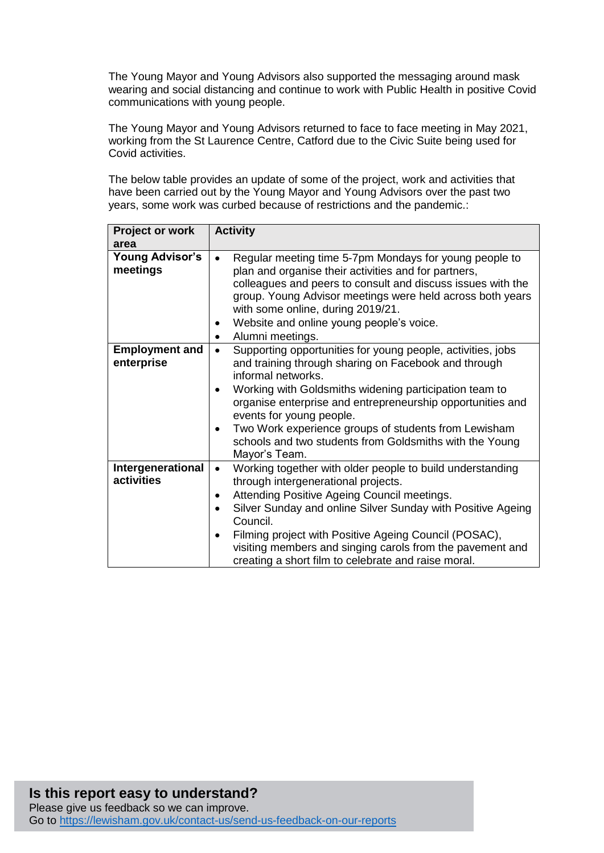The Young Mayor and Young Advisors also supported the messaging around mask wearing and social distancing and continue to work with Public Health in positive Covid communications with young people.

The Young Mayor and Young Advisors returned to face to face meeting in May 2021, working from the St Laurence Centre, Catford due to the Civic Suite being used for Covid activities.

The below table provides an update of some of the project, work and activities that have been carried out by the Young Mayor and Young Advisors over the past two years, some work was curbed because of restrictions and the pandemic.:

| Project or work<br>area             | <b>Activity</b>                                                                                                                                                                                                                                                                                                                                                                                                                                |
|-------------------------------------|------------------------------------------------------------------------------------------------------------------------------------------------------------------------------------------------------------------------------------------------------------------------------------------------------------------------------------------------------------------------------------------------------------------------------------------------|
| <b>Young Advisor's</b><br>meetings  | Regular meeting time 5-7pm Mondays for young people to<br>plan and organise their activities and for partners,<br>colleagues and peers to consult and discuss issues with the<br>group. Young Advisor meetings were held across both years<br>with some online, during 2019/21.<br>Website and online young people's voice.<br>Alumni meetings.<br>٠                                                                                           |
| <b>Employment and</b><br>enterprise | Supporting opportunities for young people, activities, jobs<br>$\bullet$<br>and training through sharing on Facebook and through<br>informal networks.<br>Working with Goldsmiths widening participation team to<br>organise enterprise and entrepreneurship opportunities and<br>events for young people.<br>Two Work experience groups of students from Lewisham<br>schools and two students from Goldsmiths with the Young<br>Mayor's Team. |
| Intergenerational<br>activities     | Working together with older people to build understanding<br>$\bullet$<br>through intergenerational projects.<br>Attending Positive Ageing Council meetings.<br>Silver Sunday and online Silver Sunday with Positive Ageing<br>Council.<br>Filming project with Positive Ageing Council (POSAC),<br>visiting members and singing carols from the pavement and<br>creating a short film to celebrate and raise moral.                           |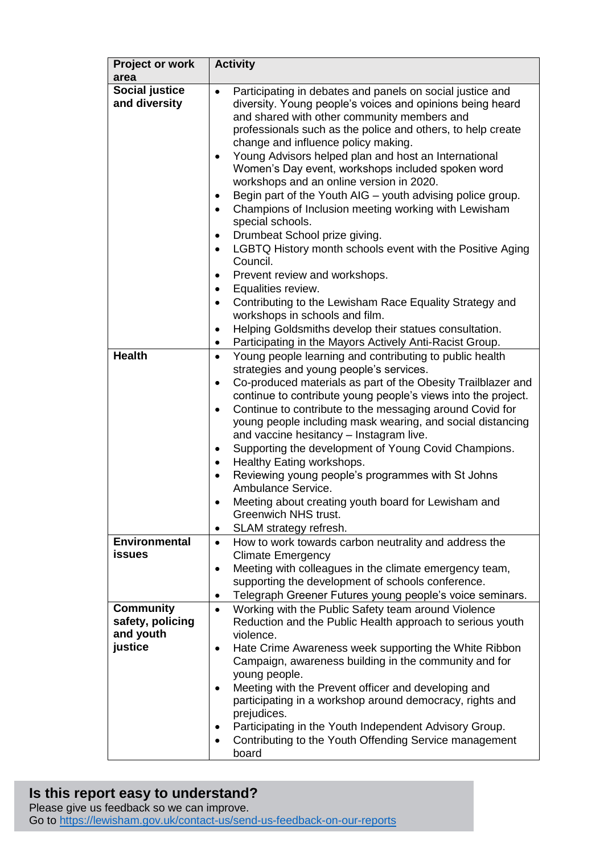| <b>Project or work</b><br>area                               | <b>Activity</b>                                                                                                                                                                                                                                                                                                                                                                                                                                                                                                                                                                                                                                                                                                                                                                                                                                                                                                                                                                                                 |
|--------------------------------------------------------------|-----------------------------------------------------------------------------------------------------------------------------------------------------------------------------------------------------------------------------------------------------------------------------------------------------------------------------------------------------------------------------------------------------------------------------------------------------------------------------------------------------------------------------------------------------------------------------------------------------------------------------------------------------------------------------------------------------------------------------------------------------------------------------------------------------------------------------------------------------------------------------------------------------------------------------------------------------------------------------------------------------------------|
| Social justice<br>and diversity<br><b>Health</b>             | Participating in debates and panels on social justice and<br>diversity. Young people's voices and opinions being heard<br>and shared with other community members and<br>professionals such as the police and others, to help create<br>change and influence policy making.<br>Young Advisors helped plan and host an International<br>٠<br>Women's Day event, workshops included spoken word<br>workshops and an online version in 2020.<br>Begin part of the Youth AIG – youth advising police group.<br>Champions of Inclusion meeting working with Lewisham<br>special schools.<br>Drumbeat School prize giving.<br>LGBTQ History month schools event with the Positive Aging<br>$\bullet$<br>Council.<br>Prevent review and workshops.<br>Equalities review.<br>٠<br>Contributing to the Lewisham Race Equality Strategy and<br>$\bullet$<br>workshops in schools and film.<br>Helping Goldsmiths develop their statues consultation.<br>٠<br>Participating in the Mayors Actively Anti-Racist Group.<br>٠ |
|                                                              | Young people learning and contributing to public health<br>٠<br>strategies and young people's services.<br>Co-produced materials as part of the Obesity Trailblazer and<br>$\bullet$<br>continue to contribute young people's views into the project.<br>Continue to contribute to the messaging around Covid for<br>$\bullet$<br>young people including mask wearing, and social distancing<br>and vaccine hesitancy - Instagram live.<br>Supporting the development of Young Covid Champions.<br>٠<br>Healthy Eating workshops.<br>Reviewing young people's programmes with St Johns<br>Ambulance Service.<br>Meeting about creating youth board for Lewisham and<br>Greenwich NHS trust.<br>SLAM strategy refresh.<br>٠                                                                                                                                                                                                                                                                                      |
| <b>Environmental</b><br><b>issues</b>                        | How to work towards carbon neutrality and address the<br>$\bullet$<br><b>Climate Emergency</b><br>Meeting with colleagues in the climate emergency team,<br>$\bullet$<br>supporting the development of schools conference.<br>Telegraph Greener Futures young people's voice seminars.                                                                                                                                                                                                                                                                                                                                                                                                                                                                                                                                                                                                                                                                                                                          |
| <b>Community</b><br>safety, policing<br>and youth<br>justice | Working with the Public Safety team around Violence<br>$\bullet$<br>Reduction and the Public Health approach to serious youth<br>violence.<br>Hate Crime Awareness week supporting the White Ribbon<br>٠<br>Campaign, awareness building in the community and for<br>young people.<br>Meeting with the Prevent officer and developing and<br>participating in a workshop around democracy, rights and<br>prejudices.<br>Participating in the Youth Independent Advisory Group.<br>Contributing to the Youth Offending Service management<br>board                                                                                                                                                                                                                                                                                                                                                                                                                                                               |

## **Is this report easy to understand?**

Please give us feedback so we can improve. Go to<https://lewisham.gov.uk/contact-us/send-us-feedback-on-our-reports>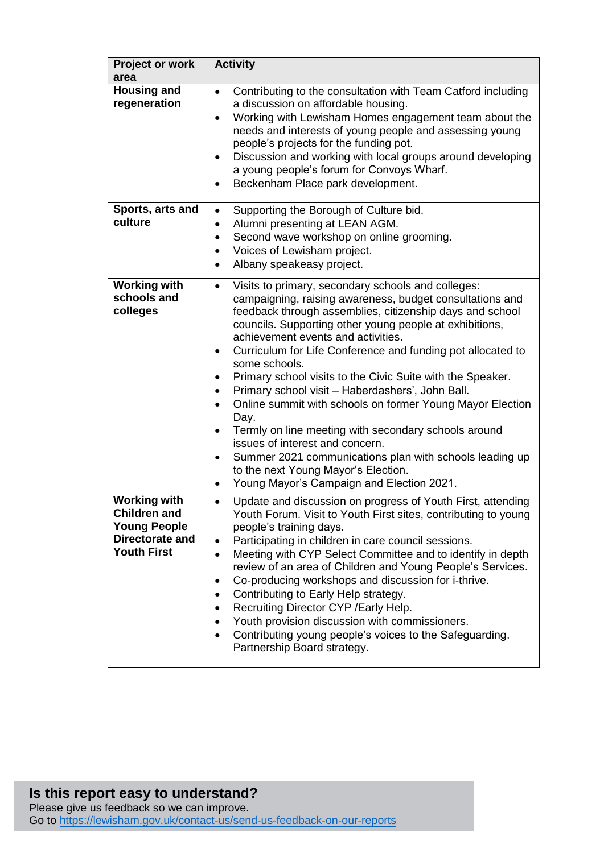| <b>Project or work</b><br>area                                                                             | <b>Activity</b>                                                                                                                                                                                                                                                                                                                                                                                                                                                                                                                                                                                                                                                                                                                                                                                                                  |
|------------------------------------------------------------------------------------------------------------|----------------------------------------------------------------------------------------------------------------------------------------------------------------------------------------------------------------------------------------------------------------------------------------------------------------------------------------------------------------------------------------------------------------------------------------------------------------------------------------------------------------------------------------------------------------------------------------------------------------------------------------------------------------------------------------------------------------------------------------------------------------------------------------------------------------------------------|
| <b>Housing and</b><br>regeneration                                                                         | Contributing to the consultation with Team Catford including<br>$\bullet$<br>a discussion on affordable housing.<br>Working with Lewisham Homes engagement team about the<br>$\bullet$<br>needs and interests of young people and assessing young<br>people's projects for the funding pot.<br>Discussion and working with local groups around developing<br>٠<br>a young people's forum for Convoys Wharf.<br>Beckenham Place park development.                                                                                                                                                                                                                                                                                                                                                                                 |
| Sports, arts and<br>culture                                                                                | Supporting the Borough of Culture bid.<br>$\bullet$<br>Alumni presenting at LEAN AGM.<br>٠<br>Second wave workshop on online grooming.<br>$\bullet$<br>Voices of Lewisham project.<br>Albany speakeasy project.                                                                                                                                                                                                                                                                                                                                                                                                                                                                                                                                                                                                                  |
| <b>Working with</b><br>schools and<br>colleges                                                             | Visits to primary, secondary schools and colleges:<br>$\bullet$<br>campaigning, raising awareness, budget consultations and<br>feedback through assemblies, citizenship days and school<br>councils. Supporting other young people at exhibitions,<br>achievement events and activities.<br>Curriculum for Life Conference and funding pot allocated to<br>$\bullet$<br>some schools.<br>Primary school visits to the Civic Suite with the Speaker.<br>Primary school visit - Haberdashers', John Ball.<br>Online summit with schools on former Young Mayor Election<br>Day.<br>Termly on line meeting with secondary schools around<br>٠<br>issues of interest and concern.<br>Summer 2021 communications plan with schools leading up<br>to the next Young Mayor's Election.<br>Young Mayor's Campaign and Election 2021.<br>٠ |
| <b>Working with</b><br><b>Children and</b><br><b>Young People</b><br>Directorate and<br><b>Youth First</b> | Update and discussion on progress of Youth First, attending<br>$\bullet$<br>Youth Forum. Visit to Youth First sites, contributing to young<br>people's training days.<br>Participating in children in care council sessions.<br>Meeting with CYP Select Committee and to identify in depth<br>$\bullet$<br>review of an area of Children and Young People's Services.<br>Co-producing workshops and discussion for i-thrive.<br>Contributing to Early Help strategy.<br>Recruiting Director CYP / Early Help.<br>$\bullet$<br>Youth provision discussion with commissioners.<br>Contributing young people's voices to the Safeguarding.<br>Partnership Board strategy.                                                                                                                                                           |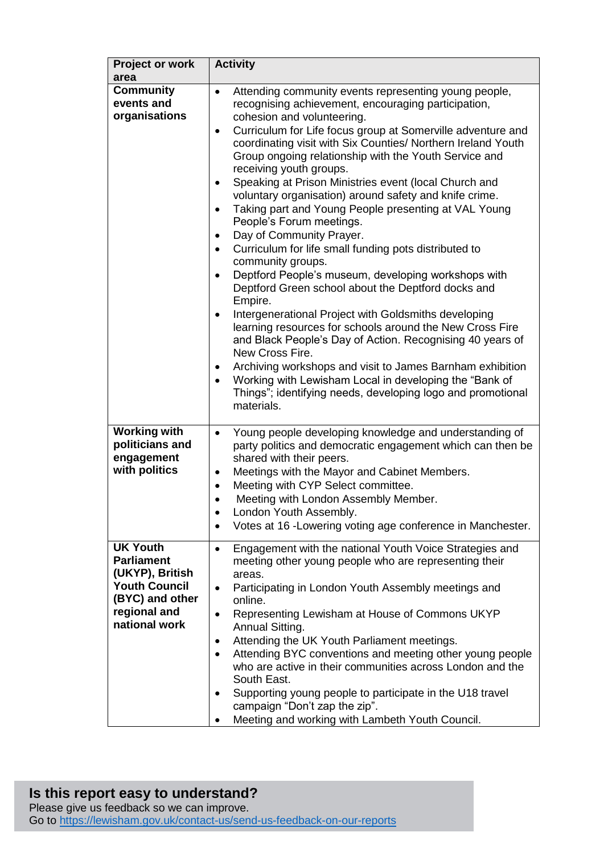| <b>Project or work</b><br>area                                                                                                      | <b>Activity</b>                                                                                                                                                                                                                                                                                                                                                                                                                                                                                                                                                                                                                                                                                                                                                                                                                                                                                                                                                                                                                                                                                                                                                                                                                                                                      |
|-------------------------------------------------------------------------------------------------------------------------------------|--------------------------------------------------------------------------------------------------------------------------------------------------------------------------------------------------------------------------------------------------------------------------------------------------------------------------------------------------------------------------------------------------------------------------------------------------------------------------------------------------------------------------------------------------------------------------------------------------------------------------------------------------------------------------------------------------------------------------------------------------------------------------------------------------------------------------------------------------------------------------------------------------------------------------------------------------------------------------------------------------------------------------------------------------------------------------------------------------------------------------------------------------------------------------------------------------------------------------------------------------------------------------------------|
| <b>Community</b><br>events and<br>organisations                                                                                     | Attending community events representing young people,<br>$\bullet$<br>recognising achievement, encouraging participation,<br>cohesion and volunteering.<br>Curriculum for Life focus group at Somerville adventure and<br>$\bullet$<br>coordinating visit with Six Counties/ Northern Ireland Youth<br>Group ongoing relationship with the Youth Service and<br>receiving youth groups.<br>Speaking at Prison Ministries event (local Church and<br>voluntary organisation) around safety and knife crime.<br>Taking part and Young People presenting at VAL Young<br>$\bullet$<br>People's Forum meetings.<br>Day of Community Prayer.<br>٠<br>Curriculum for life small funding pots distributed to<br>$\bullet$<br>community groups.<br>Deptford People's museum, developing workshops with<br>Deptford Green school about the Deptford docks and<br>Empire.<br>Intergenerational Project with Goldsmiths developing<br>$\bullet$<br>learning resources for schools around the New Cross Fire<br>and Black People's Day of Action. Recognising 40 years of<br>New Cross Fire.<br>Archiving workshops and visit to James Barnham exhibition<br>Working with Lewisham Local in developing the "Bank of<br>Things"; identifying needs, developing logo and promotional<br>materials. |
| <b>Working with</b><br>politicians and<br>engagement<br>with politics                                                               | Young people developing knowledge and understanding of<br>$\bullet$<br>party politics and democratic engagement which can then be<br>shared with their peers.<br>Meetings with the Mayor and Cabinet Members.<br>$\bullet$<br>Meeting with CYP Select committee.<br>$\bullet$<br>Meeting with London Assembly Member.<br>London Youth Assembly.<br>Votes at 16 - Lowering voting age conference in Manchester.                                                                                                                                                                                                                                                                                                                                                                                                                                                                                                                                                                                                                                                                                                                                                                                                                                                                       |
| <b>UK Youth</b><br><b>Parliament</b><br>(UKYP), British<br><b>Youth Council</b><br>(BYC) and other<br>regional and<br>national work | Engagement with the national Youth Voice Strategies and<br>$\bullet$<br>meeting other young people who are representing their<br>areas.<br>Participating in London Youth Assembly meetings and<br>$\bullet$<br>online.<br>Representing Lewisham at House of Commons UKYP<br>٠<br>Annual Sitting.<br>Attending the UK Youth Parliament meetings.<br>٠<br>Attending BYC conventions and meeting other young people<br>who are active in their communities across London and the<br>South East.<br>Supporting young people to participate in the U18 travel<br>campaign "Don't zap the zip".<br>Meeting and working with Lambeth Youth Council.                                                                                                                                                                                                                                                                                                                                                                                                                                                                                                                                                                                                                                         |

## **Is this report easy to understand?** Please give us feedback so we can improve. Go to<https://lewisham.gov.uk/contact-us/send-us-feedback-on-our-reports>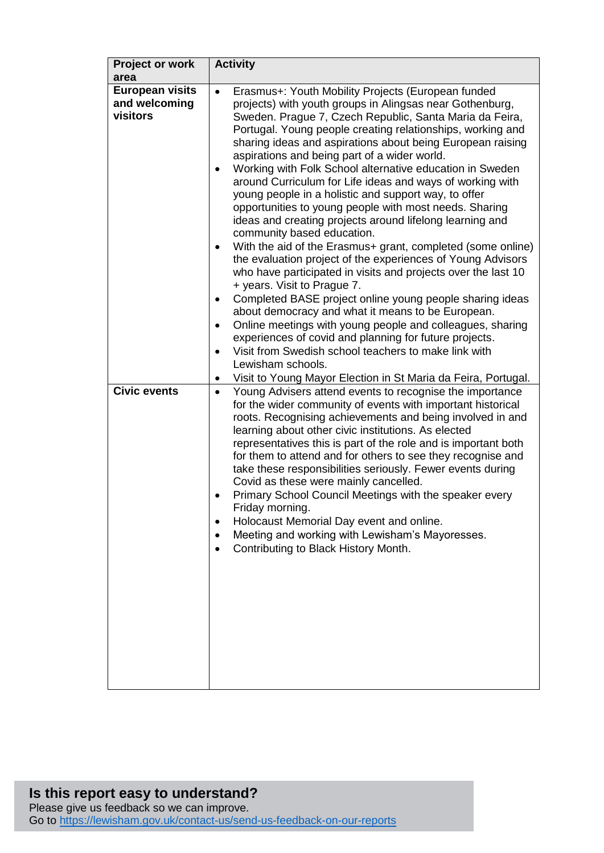| Project or work<br>area                             | <b>Activity</b>                                                                                                                                                                                                                                                                                                                                                                                                                                                                                                                                                                                                                                                                                                                                                                                                                                                                                                                                                                                                                                                                                                                                                                                                                                                                                                                                            |
|-----------------------------------------------------|------------------------------------------------------------------------------------------------------------------------------------------------------------------------------------------------------------------------------------------------------------------------------------------------------------------------------------------------------------------------------------------------------------------------------------------------------------------------------------------------------------------------------------------------------------------------------------------------------------------------------------------------------------------------------------------------------------------------------------------------------------------------------------------------------------------------------------------------------------------------------------------------------------------------------------------------------------------------------------------------------------------------------------------------------------------------------------------------------------------------------------------------------------------------------------------------------------------------------------------------------------------------------------------------------------------------------------------------------------|
| <b>European visits</b><br>and welcoming<br>visitors | Erasmus+: Youth Mobility Projects (European funded<br>$\bullet$<br>projects) with youth groups in Alingsas near Gothenburg,<br>Sweden. Prague 7, Czech Republic, Santa Maria da Feira,<br>Portugal. Young people creating relationships, working and<br>sharing ideas and aspirations about being European raising<br>aspirations and being part of a wider world.<br>Working with Folk School alternative education in Sweden<br>around Curriculum for Life ideas and ways of working with<br>young people in a holistic and support way, to offer<br>opportunities to young people with most needs. Sharing<br>ideas and creating projects around lifelong learning and<br>community based education.<br>With the aid of the Erasmus+ grant, completed (some online)<br>$\bullet$<br>the evaluation project of the experiences of Young Advisors<br>who have participated in visits and projects over the last 10<br>+ years. Visit to Prague 7.<br>Completed BASE project online young people sharing ideas<br>about democracy and what it means to be European.<br>Online meetings with young people and colleagues, sharing<br>٠<br>experiences of covid and planning for future projects.<br>Visit from Swedish school teachers to make link with<br>$\bullet$<br>Lewisham schools.<br>Visit to Young Mayor Election in St Maria da Feira, Portugal. |
| <b>Civic events</b>                                 | Young Advisers attend events to recognise the importance<br>$\bullet$<br>for the wider community of events with important historical<br>roots. Recognising achievements and being involved in and<br>learning about other civic institutions. As elected<br>representatives this is part of the role and is important both<br>for them to attend and for others to see they recognise and<br>take these responsibilities seriously. Fewer events during<br>Covid as these were mainly cancelled.<br>Primary School Council Meetings with the speaker every<br>Friday morning.<br>Holocaust Memorial Day event and online.<br>Meeting and working with Lewisham's Mayoresses.<br>Contributing to Black History Month.                                                                                                                                                                                                                                                                                                                                                                                                                                                                                                                                                                                                                                       |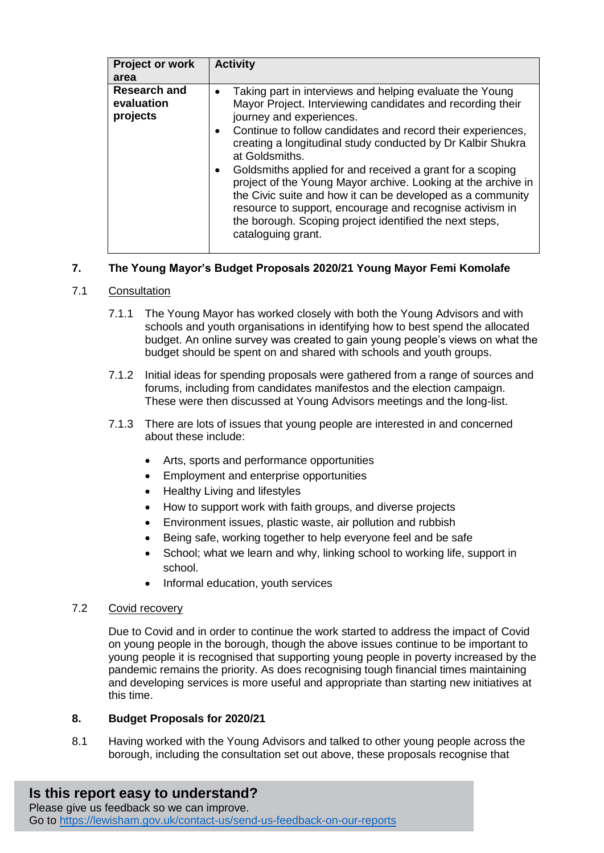| Project or work                               | <b>Activity</b>                                                                                                                                                                                                                                                                                                                                                                                                                                                                                                                                                                                                                             |
|-----------------------------------------------|---------------------------------------------------------------------------------------------------------------------------------------------------------------------------------------------------------------------------------------------------------------------------------------------------------------------------------------------------------------------------------------------------------------------------------------------------------------------------------------------------------------------------------------------------------------------------------------------------------------------------------------------|
| area                                          |                                                                                                                                                                                                                                                                                                                                                                                                                                                                                                                                                                                                                                             |
| <b>Research and</b><br>evaluation<br>projects | Taking part in interviews and helping evaluate the Young<br>Mayor Project. Interviewing candidates and recording their<br>journey and experiences.<br>Continue to follow candidates and record their experiences,<br>creating a longitudinal study conducted by Dr Kalbir Shukra<br>at Goldsmiths.<br>Goldsmiths applied for and received a grant for a scoping<br>project of the Young Mayor archive. Looking at the archive in<br>the Civic suite and how it can be developed as a community<br>resource to support, encourage and recognise activism in<br>the borough. Scoping project identified the next steps,<br>cataloguing grant. |

## **7. The Young Mayor's Budget Proposals 2020/21 Young Mayor Femi Komolafe**

## 7.1 Consultation

- 7.1.1 The Young Mayor has worked closely with both the Young Advisors and with schools and youth organisations in identifying how to best spend the allocated budget. An online survey was created to gain young people's views on what the budget should be spent on and shared with schools and youth groups.
- 7.1.2 Initial ideas for spending proposals were gathered from a range of sources and forums, including from candidates manifestos and the election campaign. These were then discussed at Young Advisors meetings and the long-list.
- 7.1.3 There are lots of issues that young people are interested in and concerned about these include:
	- Arts, sports and performance opportunities
	- Employment and enterprise opportunities
	- Healthy Living and lifestyles
	- How to support work with faith groups, and diverse projects
	- Environment issues, plastic waste, air pollution and rubbish
	- Being safe, working together to help everyone feel and be safe
	- School; what we learn and why, linking school to working life, support in school.
	- Informal education, youth services

## 7.2 Covid recovery

Due to Covid and in order to continue the work started to address the impact of Covid on young people in the borough, though the above issues continue to be important to young people it is recognised that supporting young people in poverty increased by the pandemic remains the priority. As does recognising tough financial times maintaining and developing services is more useful and appropriate than starting new initiatives at this time.

## **8. Budget Proposals for 2020/21**

8.1 Having worked with the Young Advisors and talked to other young people across the borough, including the consultation set out above, these proposals recognise that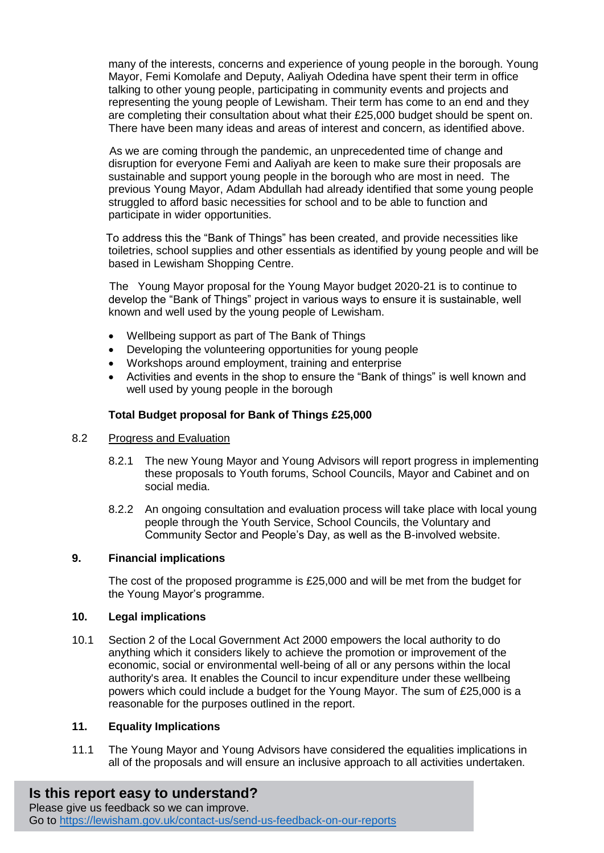many of the interests, concerns and experience of young people in the borough. Young Mayor, Femi Komolafe and Deputy, Aaliyah Odedina have spent their term in office talking to other young people, participating in community events and projects and representing the young people of Lewisham. Their term has come to an end and they are completing their consultation about what their £25,000 budget should be spent on. There have been many ideas and areas of interest and concern, as identified above.

 As we are coming through the pandemic, an unprecedented time of change and disruption for everyone Femi and Aaliyah are keen to make sure their proposals are sustainable and support young people in the borough who are most in need. The previous Young Mayor, Adam Abdullah had already identified that some young people struggled to afford basic necessities for school and to be able to function and participate in wider opportunities.

 To address this the "Bank of Things" has been created, and provide necessities like toiletries, school supplies and other essentials as identified by young people and will be based in Lewisham Shopping Centre.

 The Young Mayor proposal for the Young Mayor budget 2020-21 is to continue to develop the "Bank of Things" project in various ways to ensure it is sustainable, well known and well used by the young people of Lewisham.

- Wellbeing support as part of The Bank of Things
- Developing the volunteering opportunities for young people
- Workshops around employment, training and enterprise
- Activities and events in the shop to ensure the "Bank of things" is well known and well used by young people in the borough

## **Total Budget proposal for Bank of Things £25,000**

## 8.2 Progress and Evaluation

- 8.2.1 The new Young Mayor and Young Advisors will report progress in implementing these proposals to Youth forums, School Councils, Mayor and Cabinet and on social media.
- 8.2.2 An ongoing consultation and evaluation process will take place with local young people through the Youth Service, School Councils, the Voluntary and Community Sector and People's Day, as well as the B-involved website.

## **9. Financial implications**

The cost of the proposed programme is £25,000 and will be met from the budget for the Young Mayor's programme.

## **10. Legal implications**

10.1 Section 2 of the Local Government Act 2000 empowers the local authority to do anything which it considers likely to achieve the promotion or improvement of the economic, social or environmental well-being of all or any persons within the local authority's area. It enables the Council to incur expenditure under these wellbeing powers which could include a budget for the Young Mayor. The sum of £25,000 is a reasonable for the purposes outlined in the report.

## **11. Equality Implications**

11.1 The Young Mayor and Young Advisors have considered the equalities implications in all of the proposals and will ensure an inclusive approach to all activities undertaken.

## **Is this report easy to understand?**

Please give us feedback so we can improve. Go to<https://lewisham.gov.uk/contact-us/send-us-feedback-on-our-reports>